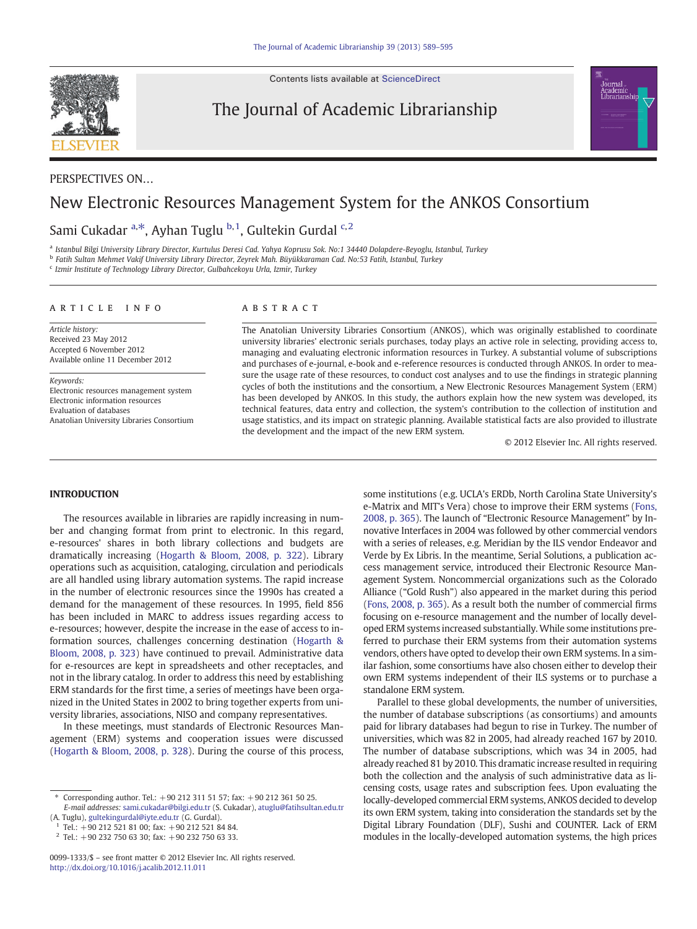Contents lists available at [ScienceDirect](http://www.sciencedirect.com/science/journal/)



The Journal of Academic Librarianship

## PERSPECTIVES ON…

# New Electronic Resources Management System for the ANKOS Consortium

## Sami Cukadar <sup>a,\*</sup>, Ayhan Tuglu <sup>b,1</sup>, Gultekin Gurdal <sup>c,2</sup>

a Istanbul Bilgi University Library Director, Kurtulus Deresi Cad. Yahya Koprusu Sok. No:1 34440 Dolapdere-Beyoglu, Istanbul, Turkey

<sup>b</sup> Fatih Sultan Mehmet Vakif University Library Director, Zeyrek Mah. Büyükkaraman Cad. No:53 Fatih, Istanbul, Turkey

<sup>c</sup> Izmir Institute of Technology Library Director, Gulbahcekoyu Urla, Izmir, Turkey

### article info abstract

Article history: Received 23 May 2012 Accepted 6 November 2012 Available online 11 December 2012

Keywords: Electronic resources management system Electronic information resources Evaluation of databases Anatolian University Libraries Consortium

The Anatolian University Libraries Consortium (ANKOS), which was originally established to coordinate university libraries' electronic serials purchases, today plays an active role in selecting, providing access to, managing and evaluating electronic information resources in Turkey. A substantial volume of subscriptions and purchases of e-journal, e-book and e-reference resources is conducted through ANKOS. In order to measure the usage rate of these resources, to conduct cost analyses and to use the findings in strategic planning cycles of both the institutions and the consortium, a New Electronic Resources Management System (ERM) has been developed by ANKOS. In this study, the authors explain how the new system was developed, its technical features, data entry and collection, the system's contribution to the collection of institution and usage statistics, and its impact on strategic planning. Available statistical facts are also provided to illustrate the development and the impact of the new ERM system.

© 2012 Elsevier Inc. All rights reserved.

ournal

### **INTRODUCTION**

The resources available in libraries are rapidly increasing in number and changing format from print to electronic. In this regard, e-resources' shares in both library collections and budgets are dramatically increasing ([Hogarth & Bloom, 2008, p. 322](#page--1-0)). Library operations such as acquisition, cataloging, circulation and periodicals are all handled using library automation systems. The rapid increase in the number of electronic resources since the 1990s has created a demand for the management of these resources. In 1995, field 856 has been included in MARC to address issues regarding access to e-resources; however, despite the increase in the ease of access to information sources, challenges concerning destination ([Hogarth &](#page--1-0) [Bloom, 2008, p. 323\)](#page--1-0) have continued to prevail. Administrative data for e-resources are kept in spreadsheets and other receptacles, and not in the library catalog. In order to address this need by establishing ERM standards for the first time, a series of meetings have been organized in the United States in 2002 to bring together experts from university libraries, associations, NISO and company representatives.

In these meetings, must standards of Electronic Resources Management (ERM) systems and cooperation issues were discussed [\(Hogarth & Bloom, 2008, p. 328\)](#page--1-0). During the course of this process,

(A. Tuglu), [gultekingurdal@iyte.edu.tr](mailto:gultekingurdal@iyte.edu.tr) (G. Gurdal).

some institutions (e.g. UCLA's ERDb, North Carolina State University's e-Matrix and MIT's Vera) chose to improve their ERM systems ([Fons,](#page--1-0) [2008, p. 365](#page--1-0)). The launch of "Electronic Resource Management" by Innovative Interfaces in 2004 was followed by other commercial vendors with a series of releases, e.g. Meridian by the ILS vendor Endeavor and Verde by Ex Libris. In the meantime, Serial Solutions, a publication access management service, introduced their Electronic Resource Management System. Noncommercial organizations such as the Colorado Alliance ("Gold Rush") also appeared in the market during this period [\(Fons, 2008, p. 365\)](#page--1-0). As a result both the number of commercial firms focusing on e-resource management and the number of locally developed ERM systems increased substantially. While some institutions preferred to purchase their ERM systems from their automation systems vendors, others have opted to develop their own ERM systems. In a similar fashion, some consortiums have also chosen either to develop their own ERM systems independent of their ILS systems or to purchase a standalone ERM system.

Parallel to these global developments, the number of universities, the number of database subscriptions (as consortiums) and amounts paid for library databases had begun to rise in Turkey. The number of universities, which was 82 in 2005, had already reached 167 by 2010. The number of database subscriptions, which was 34 in 2005, had already reached 81 by 2010. This dramatic increase resulted in requiring both the collection and the analysis of such administrative data as licensing costs, usage rates and subscription fees. Upon evaluating the locally-developed commercial ERM systems, ANKOS decided to develop its own ERM system, taking into consideration the standards set by the Digital Library Foundation (DLF), Sushi and COUNTER. Lack of ERM modules in the locally-developed automation systems, the high prices

<sup>⁎</sup> Corresponding author. Tel.: +90 212 311 51 57; fax: +90 212 361 50 25. E-mail addresses: [sami.cukadar@bilgi.edu.tr](mailto:sami.cukadar@bilgi.edu.tr) (S. Cukadar), [atuglu@fatihsultan.edu.tr](mailto:atuglu@fatihsultan.edu.tr)

<sup>1</sup> Tel.: +90 212 521 81 00; fax: +90 212 521 84 84.

 $2$  Tel.: +90 232 750 63 30; fax: +90 232 750 63 33.

<sup>0099-1333/\$</sup> – see front matter © 2012 Elsevier Inc. All rights reserved. <http://dx.doi.org/10.1016/j.acalib.2012.11.011>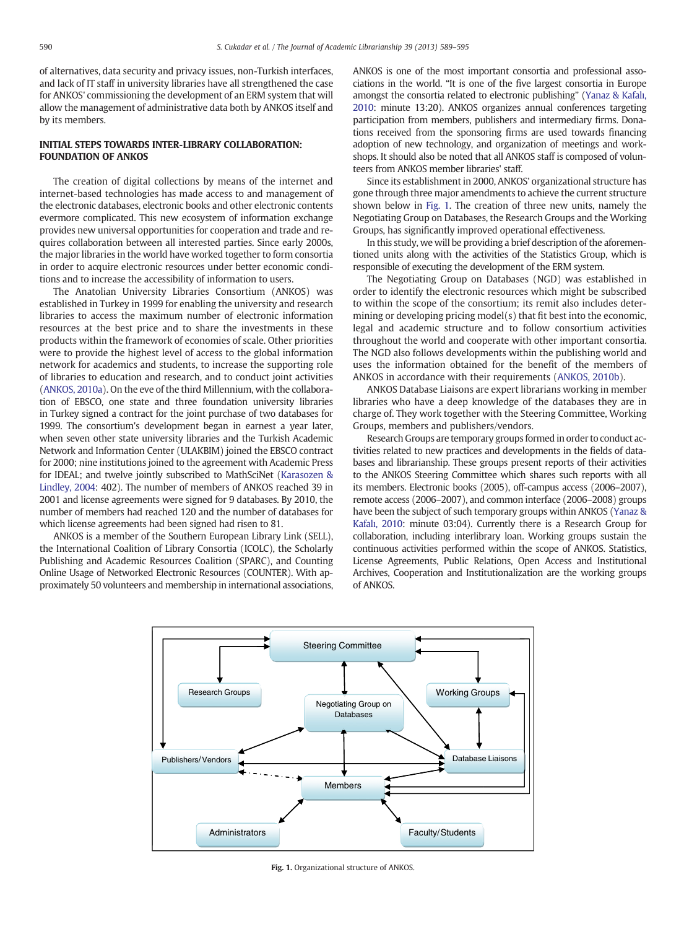of alternatives, data security and privacy issues, non-Turkish interfaces, and lack of IT staff in university libraries have all strengthened the case for ANKOS' commissioning the development of an ERM system that will allow the management of administrative data both by ANKOS itself and by its members.

# INITIAL STEPS TOWARDS INTER-LIBRARY COLLABORATION:

The creation of digital collections by means of the internet and internet-based technologies has made access to and management of the electronic databases, electronic books and other electronic contents evermore complicated. This new ecosystem of information exchange provides new universal opportunities for cooperation and trade and requires collaboration between all interested parties. Since early 2000s, the major libraries in the world have worked together to form consortia in order to acquire electronic resources under better economic conditions and to increase the accessibility of information to users.

The Anatolian University Libraries Consortium (ANKOS) was established in Turkey in 1999 for enabling the university and research libraries to access the maximum number of electronic information resources at the best price and to share the investments in these products within the framework of economies of scale. Other priorities were to provide the highest level of access to the global information network for academics and students, to increase the supporting role of libraries to education and research, and to conduct joint activities [\(ANKOS, 2010a\)](#page--1-0). On the eve of the third Millennium, with the collaboration of EBSCO, one state and three foundation university libraries in Turkey signed a contract for the joint purchase of two databases for 1999. The consortium's development began in earnest a year later, when seven other state university libraries and the Turkish Academic Network and Information Center (ULAKBIM) joined the EBSCO contract for 2000; nine institutions joined to the agreement with Academic Press for IDEAL; and twelve jointly subscribed to MathSciNet [\(Karasozen &](#page--1-0) [Lindley, 2004](#page--1-0): 402). The number of members of ANKOS reached 39 in 2001 and license agreements were signed for 9 databases. By 2010, the number of members had reached 120 and the number of databases for which license agreements had been signed had risen to 81.

ANKOS is a member of the Southern European Library Link (SELL), the International Coalition of Library Consortia (ICOLC), the Scholarly Publishing and Academic Resources Coalition (SPARC), and Counting Online Usage of Networked Electronic Resources (COUNTER). With approximately 50 volunteers and membership in international associations, ANKOS is one of the most important consortia and professional associations in the world. "It is one of the five largest consortia in Europe amongst the consortia related to electronic publishing" ([Yanaz & Kafal](#page--1-0)ı, [2010](#page--1-0): minute 13:20). ANKOS organizes annual conferences targeting participation from members, publishers and intermediary firms. Donations received from the sponsoring firms are used towards financing adoption of new technology, and organization of meetings and workshops. It should also be noted that all ANKOS staff is composed of volunteers from ANKOS member libraries' staff.

Since its establishment in 2000, ANKOS' organizational structure has gone through three major amendments to achieve the current structure shown below in Fig. 1. The creation of three new units, namely the Negotiating Group on Databases, the Research Groups and the Working Groups, has significantly improved operational effectiveness.

In this study, we will be providing a brief description of the aforementioned units along with the activities of the Statistics Group, which is responsible of executing the development of the ERM system.

The Negotiating Group on Databases (NGD) was established in order to identify the electronic resources which might be subscribed to within the scope of the consortium; its remit also includes determining or developing pricing model(s) that fit best into the economic, legal and academic structure and to follow consortium activities throughout the world and cooperate with other important consortia. The NGD also follows developments within the publishing world and uses the information obtained for the benefit of the members of ANKOS in accordance with their requirements ([ANKOS, 2010b](#page--1-0)).

ANKOS Database Liaisons are expert librarians working in member libraries who have a deep knowledge of the databases they are in charge of. They work together with the Steering Committee, Working Groups, members and publishers/vendors.

Research Groups are temporary groups formed in order to conduct activities related to new practices and developments in the fields of databases and librarianship. These groups present reports of their activities to the ANKOS Steering Committee which shares such reports with all its members. Electronic books (2005), off-campus access (2006–2007), remote access (2006–2007), and common interface (2006–2008) groups have been the subject of such temporary groups within ANKOS ([Yanaz &](#page--1-0) Kafalı[, 2010:](#page--1-0) minute 03:04). Currently there is a Research Group for collaboration, including interlibrary loan. Working groups sustain the continuous activities performed within the scope of ANKOS. Statistics, License Agreements, Public Relations, Open Access and Institutional Archives, Cooperation and Institutionalization are the working groups of ANKOS.



Fig. 1. Organizational structure of ANKOS.